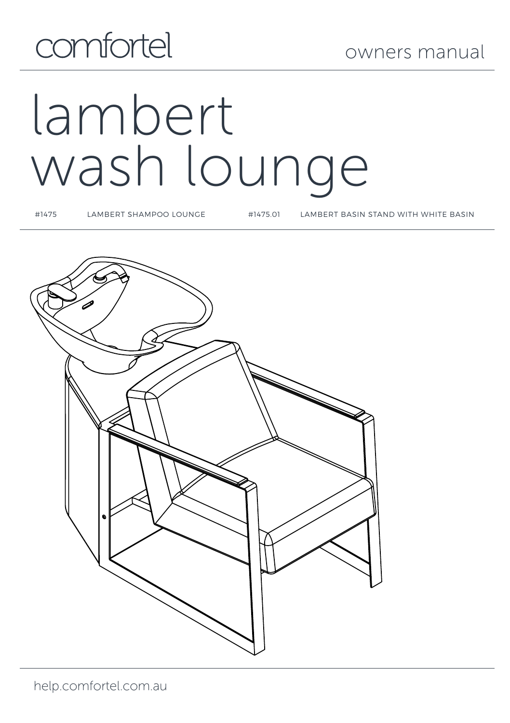## comfortel

# lambert wash lounge

#1475 LAMBERT SHAMPOO LOUNGE #1475.01 LAMBERT BASIN STAND WITH WHITE BASIN

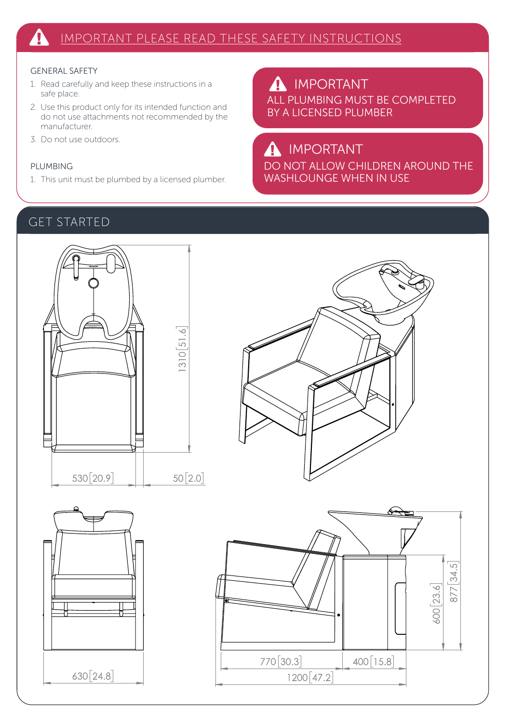#### GENERAL SAFETY

- 1. Read carefully and keep these instructions in a safe place.
- 2. Use this product only for its intended function and do not use attachments not recommended by the manufacturer.
- 3. Do not use outdoors.

#### PLUMBING

1. This unit must be plumbed by a licensed plumber.

ALL PLUMBING MUST BE COMPLETED BY A LICENSED PLUMBER **A** IMPORTANT

### IMPORTANT

DO NOT ALLOW CHILDREN AROUND THE WASHLOUNGE WHEN IN USE

#### GET STARTED







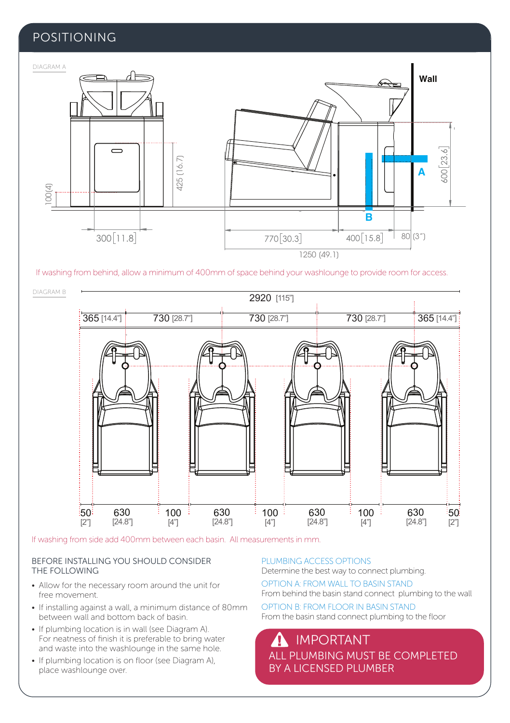#### POSITIONING



If washing from behind, allow a minimum of 400mm of space behind your washlounge to provide room for access.



If washing from side add 400mm between each basin. All measurements in mm.

#### BEFORE INSTALLING YOU SHOULD CONSIDER THE FOLLOWING

- Allow for the necessary room around the unit for free movement.
- If installing against a wall, a minimum distance of 80mm between wall and bottom back of basin.
- If plumbing location is in wall (see Diagram A). For neatness of finish it is preferable to bring water and waste into the washlounge in the same hole.
- If plumbing location is on floor (see Diagram A), place washlounge over.

PLUMBING ACCESS OPTIONS Determine the best way to connect plumbing.

OPTION A: FROM WALL TO BASIN STAND From behind the basin stand connect plumbing to the wall

OPTION B: FROM FLOOR IN BASIN STAND From the basin stand connect plumbing to the floor

ALL PLUMBING MUST BE COMPLETED BY A LICENSED PLUMBER IMPORTANT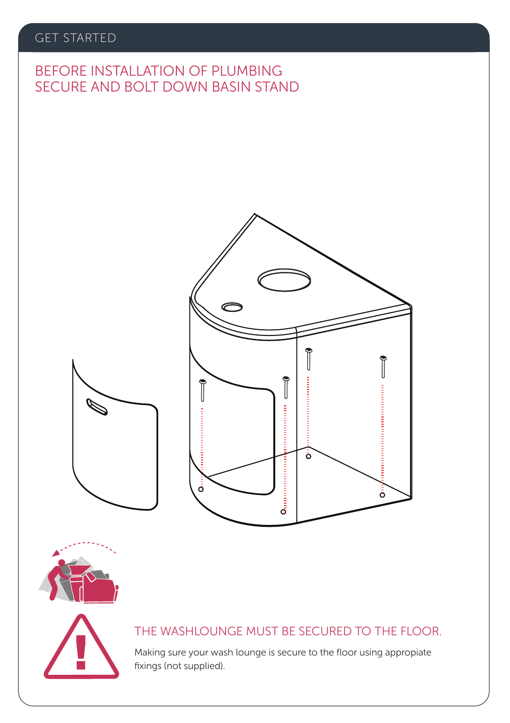#### GET STARTED

### SECURE AND BOLT DOWN BASIN STAND BEFORE INSTALLATION OF PLUMBING









#### THE WASHLOUNGE MUST BE SECURED TO THE FLOOR.

Making sure your wash lounge is secure to the floor using appropiate fixings (not supplied).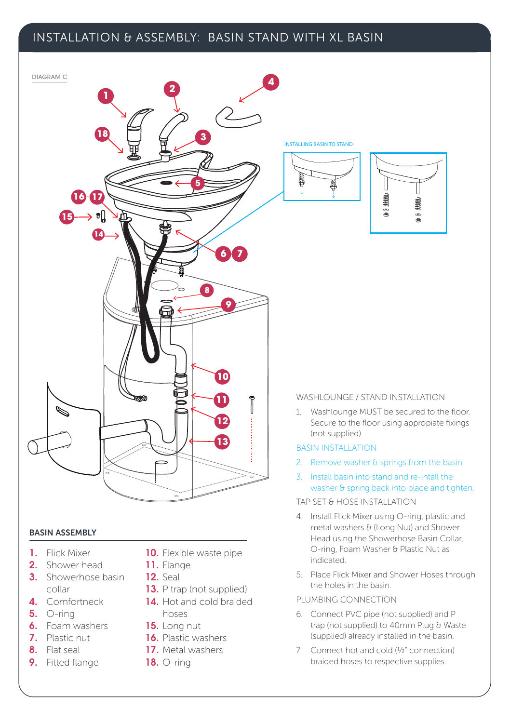#### INSTALLATION & ASSEMBLY: BASIN STAND WITH XL BASIN



- 4. Install Flick Mixer using O-ring, plastic and metal washers & (Long Nut) and Shower Head using the Showerhose Basin Collar, O-ring, Foam Washer & Plastic Nut as indicated.
- 5. Place Flick Mixer and Shower Hoses through the holes in the basin.

#### PLUMBING CONNECTION

- 6. Connect PVC pipe (not supplied) and P trap (not supplied) to 40mm Plug & Waste (supplied) already installed in the basin.
- 7. Connect hot and cold (½" connection) braided hoses to respective supplies.

#### BASIN ASSEMBLY

- 1. Flick Mixer
- 2. Shower head
- **3.** Showerhose basin collar
- 4. Comfortneck
- 5. O-ring
- 6. Foam washers
- 7. Plastic nut
- 8. Flat seal
- 9. Fitted flange
- 10. Flexible waste pipe
- 11. Flange
- 12. Seal
- 13. P trap (not supplied)
- 14. Hot and cold braided hoses
- 15. Long nut
- 16. Plastic washers
- 17. Metal washers
- 18. O-ring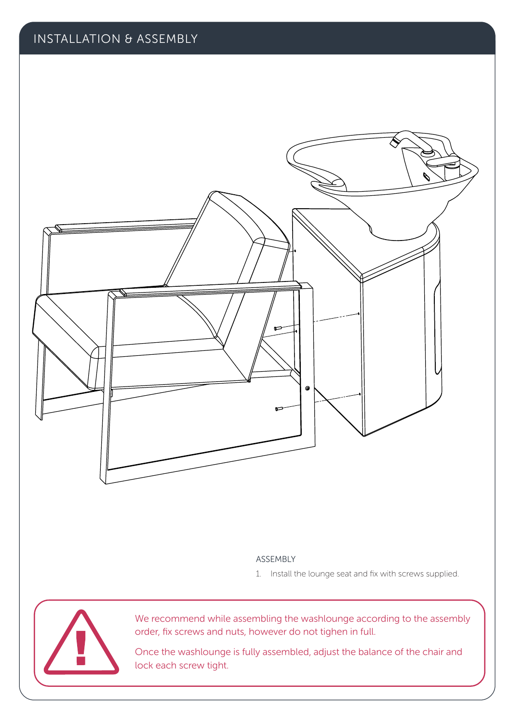

#### ASSEMBLY

1. Install the lounge seat and fix with screws supplied.



We recommend while assembling the washlounge according to the assembly order, fix screws and nuts, however do not tighen in full.

Once the washlounge is fully assembled, adjust the balance of the chair and lock each screw tight.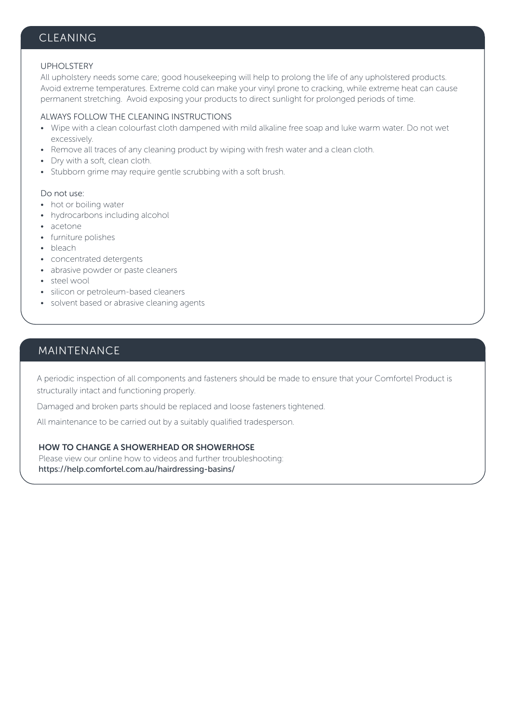#### CLEANING

#### UPHOLSTERY

All upholstery needs some care; good housekeeping will help to prolong the life of any upholstered products. Avoid extreme temperatures. Extreme cold can make your vinyl prone to cracking, while extreme heat can cause permanent stretching. Avoid exposing your products to direct sunlight for prolonged periods of time.

#### ALWAYS FOLLOW THE CLEANING INSTRUCTIONS

- Wipe with a clean colourfast cloth dampened with mild alkaline free soap and luke warm water. Do not wet excessively.
- Remove all traces of any cleaning product by wiping with fresh water and a clean cloth.
- Dry with a soft, clean cloth.
- Stubborn grime may require gentle scrubbing with a soft brush.

#### Do not use:

- hot or boiling water
- hydrocarbons including alcohol
- acetone
- furniture polishes
- bleach
- concentrated detergents
- abrasive powder or paste cleaners
- steel wool
- silicon or petroleum-based cleaners
- solvent based or abrasive cleaning agents

#### MAINTENANCE

A periodic inspection of all components and fasteners should be made to ensure that your Comfortel Product is structurally intact and functioning properly.

Damaged and broken parts should be replaced and loose fasteners tightened.

All maintenance to be carried out by a suitably qualified tradesperson.

#### HOW TO CHANGE A SHOWERHEAD OR SHOWERHOSE

Please view our online how to videos and further troubleshooting: https://help.comfortel.com.au/hairdressing-basins/